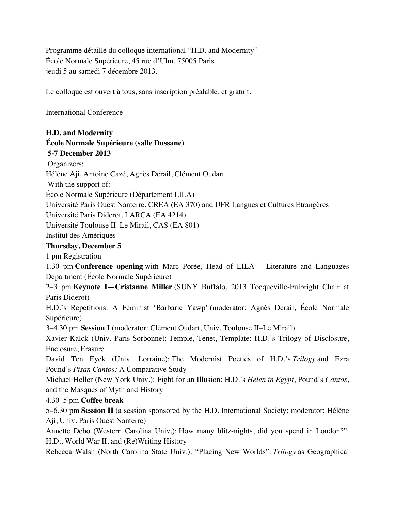Programme détaillé du colloque international "H.D. and Modernity" École Normale Supérieure, 45 rue d'Ulm, 75005 Paris jeudi 5 au samedi 7 décembre 2013.

Le colloque est ouvert à tous, sans inscription préalable, et gratuit.

International Conference

#### **H.D. and Modernity École Normale Supérieure (salle Dussane) 5-7 December 2013**

Organizers:

Hélène Aji, Antoine Cazé, Agnès Derail, Clément Oudart

With the support of:

École Normale Supérieure (Département LILA)

Université Paris Ouest Nanterre, CREA (EA 370) and UFR Langues et Cultures Étrangères

Université Paris Diderot, LARCA (EA 4214)

Université Toulouse II–Le Mirail, CAS (EA 801)

Institut des Amériques

#### **Thursday, December 5**

1 pm Registration

1.30 pm **Conference opening** with Marc Porée, Head of LILA – Literature and Languages Department (École Normale Supérieure)

2–3 pm **Keynote I—Cristanne Miller** (SUNY Buffalo, 2013 Tocqueville-Fulbright Chair at Paris Diderot)

H.D.'s Repetitions: A Feminist 'Barbaric Yawp' (moderator: Agnès Derail, École Normale Supérieure)

3–4.30 pm **Session I** (moderator: Clément Oudart, Univ. Toulouse II–Le Mirail)

Xavier Kalck (Univ. Paris-Sorbonne): Temple, Tenet, Template: H.D.'s Trilogy of Disclosure, Enclosure, Erasure

David Ten Eyck (Univ. Lorraine): The Modernist Poetics of H.D.'s *Trilogy* and Ezra Pound's *Pisan Cantos:* A Comparative Study

Michael Heller (New York Univ.): Fight for an Illusion: H.D.'s *Helen in Egypt*, Pound's *Cantos*, and the Masques of Myth and History

4.30–5 pm **Coffee break**

5–6.30 pm **Session II** (a session sponsored by the H.D. International Society; moderator: Hélène Aji, Univ. Paris Ouest Nanterre)

Annette Debo (Western Carolina Univ.): How many blitz-nights, did you spend in London?": H.D., World War II, and (Re)Writing History

Rebecca Walsh (North Carolina State Univ.): "Placing New Worlds": *Trilogy* as Geographical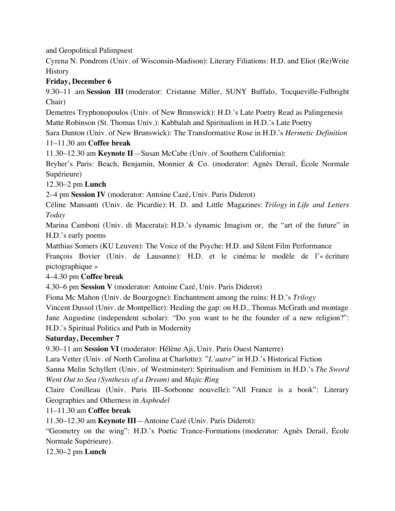and Geopolitical Palimpsest

Cyrena N. Pondrom (Univ. of Wisconsin-Madison): Literary Filiations: H.D. and Eliot (Re)Write **History** 

# **Friday, December 6**

9.30–11 am **Session III** (moderator: Cristanne Miller, SUNY Buffalo, Tocqueville-Fulbright Chair)

Demetres Tryphonopoulos (Univ. of New Brunswick): H.D.'s Late Poetry Read as Palingenesis Matte Robinson (St. Thomas Univ.): Kabbalah and Spiritualism in H.D.'s Late Poetry

Sara Dunton (Univ. of New Brunswick): The Transformative Rose in H.D.'s *Hermetic Definition* 11–11.30 am **Coffee break**

11.30–12.30 am **Keynote II**—Susan McCabe (Univ. of Southern California):

Bryher's Paris: Beach, Benjamin, Monnier & Co. (moderator: Agnès Derail, École Normale Supérieure)

12.30–2 pm **Lunch**

2–4 pm **Session IV** (moderator: Antoine Cazé, Univ. Paris Diderot)

Céline Mansanti (Univ. de Picardie): H. D. and Little Magazines: *Trilogy* in *Life and Letters Today*

Marina Camboni (Univ. di Macerata): H.D.'s dynamic Imagism or, the "art of the future" in H.D.'s early poems

Matthias Somers (KU Leuven): The Voice of the Psyche: H.D. and Silent Film Performance

François Bovier (Univ. de Lausanne): H.D. et le cinéma: le modèle de l'« écriture pictographique »

4–4.30 pm **Coffee break**

4.30–6 pm **Session V** (moderator: Antoine Cazé, Univ. Paris Diderot)

Fiona Mc Mahon (Univ. de Bourgogne): Enchantment among the ruins: H.D.'s *Trilogy*

Vincent Dussol (Univ. de Montpellier): Healing the gap: on H.D., Thomas McGrath and montage Jane Augustine (independent scholar): "Do you want to be the founder of a new religion?": H.D.'s Spiritual Politics and Path in Modernity

## **Saturday, December 7**

9.30–11 am **Session VI** (moderator: Hélène Aji, Univ. Paris Ouest Nanterre)

Lara Vetter (Univ. of North Carolina at Charlotte): "*L'autre*" in H.D.'s Historical Fiction

Sanna Melin Schyllert (Univ. of Westminster): Spiritualism and Feminism in H.D.'s *The Sword Went Out to Sea (Synthesis of a Dream)* and *Majic Ring*

Claire Conilleau (Univ. Paris III–Sorbonne nouvelle): "All France is a book": Literary Geographies and Otherness in *Asphodel*

11–11.30 am **Coffee break**

11.30–12.30 am **Keynote III**—Antoine Cazé (Univ. Paris Diderot):

"Geometry on the wing": H.D.'s Poetic Trance-Formations (moderator: Agnès Derail, École Normale Supérieure).

12.30–2 pm **Lunch**